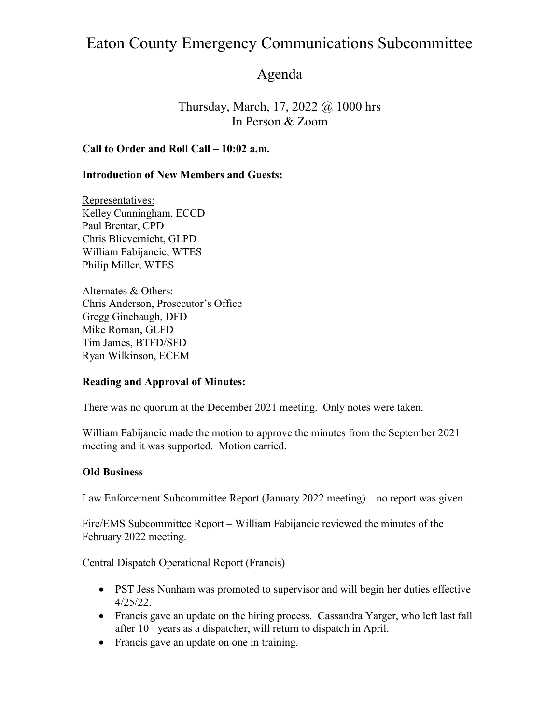### Agenda

Thursday, March, 17, 2022 @ 1000 hrs In Person & Zoom

### Call to Order and Roll Call – 10:02 a.m.

#### Introduction of New Members and Guests:

Representatives: Kelley Cunningham, ECCD Paul Brentar, CPD Chris Blievernicht, GLPD William Fabijancic, WTES Philip Miller, WTES

Alternates & Others: Chris Anderson, Prosecutor's Office Gregg Ginebaugh, DFD Mike Roman, GLFD Tim James, BTFD/SFD Ryan Wilkinson, ECEM

#### Reading and Approval of Minutes:

There was no quorum at the December 2021 meeting. Only notes were taken.

William Fabijancic made the motion to approve the minutes from the September 2021 meeting and it was supported. Motion carried.

#### Old Business

Law Enforcement Subcommittee Report (January 2022 meeting) – no report was given.

Fire/EMS Subcommittee Report – William Fabijancic reviewed the minutes of the February 2022 meeting.

Central Dispatch Operational Report (Francis)

- PST Jess Nunham was promoted to supervisor and will begin her duties effective 4/25/22.
- Francis gave an update on the hiring process. Cassandra Yarger, who left last fall after 10+ years as a dispatcher, will return to dispatch in April.
- Francis gave an update on one in training.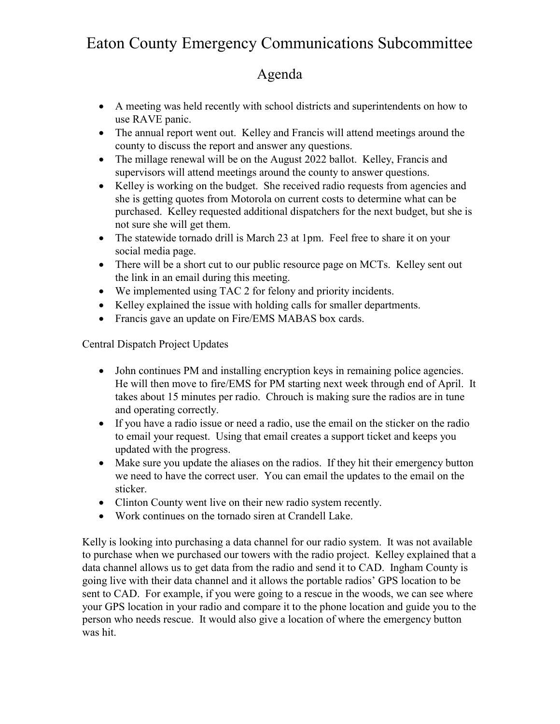## Agenda

- A meeting was held recently with school districts and superintendents on how to use RAVE panic.
- The annual report went out. Kelley and Francis will attend meetings around the county to discuss the report and answer any questions.
- The millage renewal will be on the August 2022 ballot. Kelley, Francis and supervisors will attend meetings around the county to answer questions.
- Kelley is working on the budget. She received radio requests from agencies and she is getting quotes from Motorola on current costs to determine what can be purchased. Kelley requested additional dispatchers for the next budget, but she is not sure she will get them.
- The statewide tornado drill is March 23 at 1pm. Feel free to share it on your social media page.
- There will be a short cut to our public resource page on MCTs. Kelley sent out the link in an email during this meeting.
- We implemented using TAC 2 for felony and priority incidents.
- Kelley explained the issue with holding calls for smaller departments.
- Francis gave an update on Fire/EMS MABAS box cards.

Central Dispatch Project Updates

- John continues PM and installing encryption keys in remaining police agencies. He will then move to fire/EMS for PM starting next week through end of April. It takes about 15 minutes per radio. Chrouch is making sure the radios are in tune and operating correctly.
- If you have a radio issue or need a radio, use the email on the sticker on the radio to email your request. Using that email creates a support ticket and keeps you updated with the progress.
- Make sure you update the aliases on the radios. If they hit their emergency button we need to have the correct user. You can email the updates to the email on the sticker.
- Clinton County went live on their new radio system recently.
- Work continues on the tornado siren at Crandell Lake.

Kelly is looking into purchasing a data channel for our radio system. It was not available to purchase when we purchased our towers with the radio project. Kelley explained that a data channel allows us to get data from the radio and send it to CAD. Ingham County is going live with their data channel and it allows the portable radios' GPS location to be sent to CAD. For example, if you were going to a rescue in the woods, we can see where your GPS location in your radio and compare it to the phone location and guide you to the person who needs rescue. It would also give a location of where the emergency button was hit.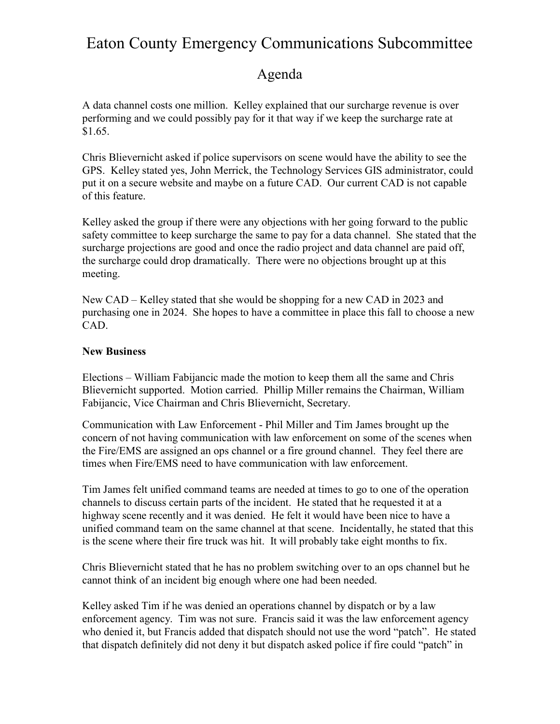### Agenda

A data channel costs one million. Kelley explained that our surcharge revenue is over performing and we could possibly pay for it that way if we keep the surcharge rate at \$1.65.

Chris Blievernicht asked if police supervisors on scene would have the ability to see the GPS. Kelley stated yes, John Merrick, the Technology Services GIS administrator, could put it on a secure website and maybe on a future CAD. Our current CAD is not capable of this feature.

Kelley asked the group if there were any objections with her going forward to the public safety committee to keep surcharge the same to pay for a data channel. She stated that the surcharge projections are good and once the radio project and data channel are paid off, the surcharge could drop dramatically. There were no objections brought up at this meeting.

New CAD – Kelley stated that she would be shopping for a new CAD in 2023 and purchasing one in 2024. She hopes to have a committee in place this fall to choose a new CAD.

### New Business

Elections – William Fabijancic made the motion to keep them all the same and Chris Blievernicht supported. Motion carried. Phillip Miller remains the Chairman, William Fabijancic, Vice Chairman and Chris Blievernicht, Secretary.

Communication with Law Enforcement - Phil Miller and Tim James brought up the concern of not having communication with law enforcement on some of the scenes when the Fire/EMS are assigned an ops channel or a fire ground channel. They feel there are times when Fire/EMS need to have communication with law enforcement.

Tim James felt unified command teams are needed at times to go to one of the operation channels to discuss certain parts of the incident. He stated that he requested it at a highway scene recently and it was denied. He felt it would have been nice to have a unified command team on the same channel at that scene. Incidentally, he stated that this is the scene where their fire truck was hit. It will probably take eight months to fix.

Chris Blievernicht stated that he has no problem switching over to an ops channel but he cannot think of an incident big enough where one had been needed.

Kelley asked Tim if he was denied an operations channel by dispatch or by a law enforcement agency. Tim was not sure. Francis said it was the law enforcement agency who denied it, but Francis added that dispatch should not use the word "patch". He stated that dispatch definitely did not deny it but dispatch asked police if fire could "patch" in